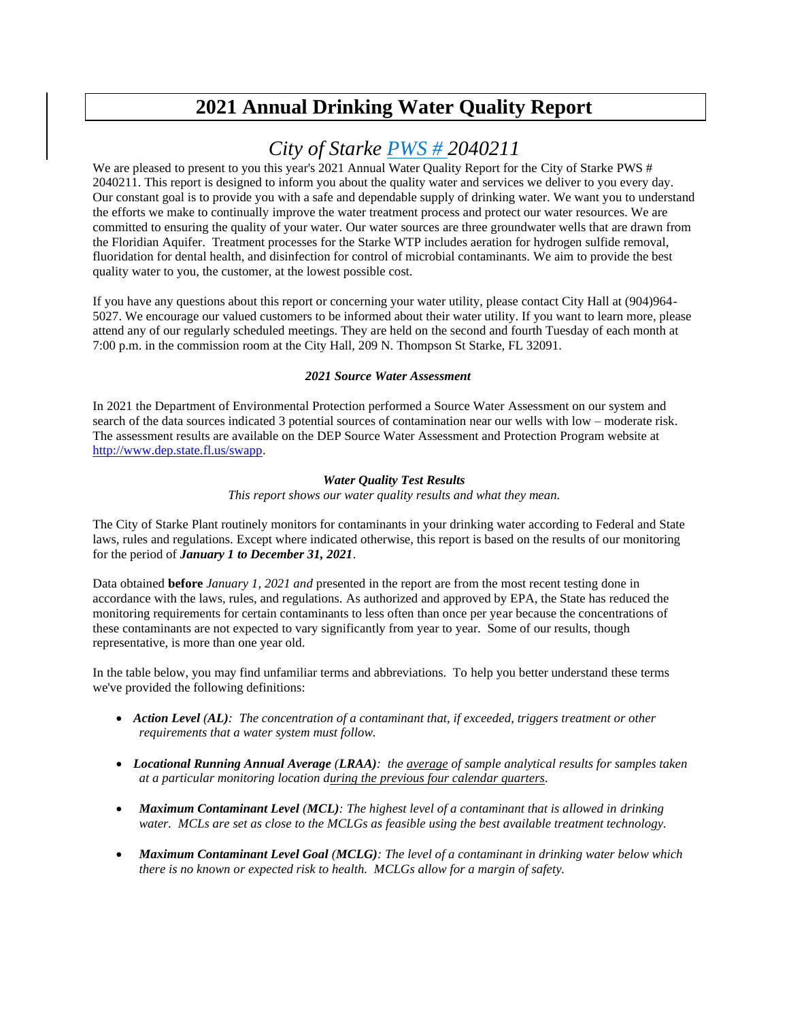# **2021 Annual Drinking Water Quality Report**

## *City of Starke PWS # 2040211*

We are pleased to present to you this year's 2021 Annual Water Quality Report for the City of Starke PWS # 2040211. This report is designed to inform you about the quality water and services we deliver to you every day. Our constant goal is to provide you with a safe and dependable supply of drinking water. We want you to understand the efforts we make to continually improve the water treatment process and protect our water resources. We are committed to ensuring the quality of your water. Our water sources are three groundwater wells that are drawn from the Floridian Aquifer. Treatment processes for the Starke WTP includes aeration for hydrogen sulfide removal, fluoridation for dental health, and disinfection for control of microbial contaminants. We aim to provide the best quality water to you, the customer, at the lowest possible cost.

If you have any questions about this report or concerning your water utility, please contact City Hall at (904)964- 5027. We encourage our valued customers to be informed about their water utility. If you want to learn more, please attend any of our regularly scheduled meetings. They are held on the second and fourth Tuesday of each month at 7:00 p.m. in the commission room at the City Hall, 209 N. Thompson St Starke, FL 32091.

#### *2021 Source Water Assessment*

In 2021 the Department of Environmental Protection performed a Source Water Assessment on our system and search of the data sources indicated 3 potential sources of contamination near our wells with low – moderate risk. The assessment results are available on the DEP Source Water Assessment and Protection Program website at [http://www.dep.state.fl.us/swapp.](http://www.dep.state.fl.us/swapp%3chttp:/www.dep.state.fl.us/swapp)

#### *Water Quality Test Results*

*This report shows our water quality results and what they mean.*

The City of Starke Plant routinely monitors for contaminants in your drinking water according to Federal and State laws, rules and regulations. Except where indicated otherwise, this report is based on the results of our monitoring for the period of *January 1 to December 31, 2021*.

Data obtained **before** *January 1, 2021 and* presented in the report are from the most recent testing done in accordance with the laws, rules, and regulations. As authorized and approved by EPA, the State has reduced the monitoring requirements for certain contaminants to less often than once per year because the concentrations of these contaminants are not expected to vary significantly from year to year. Some of our results, though representative, is more than one year old.

In the table below, you may find unfamiliar terms and abbreviations. To help you better understand these terms we've provided the following definitions:

- *Action Level (AL): The concentration of a contaminant that, if exceeded, triggers treatment or other requirements that a water system must follow.*
- *Locational Running Annual Average (LRAA): the average of sample analytical results for samples taken at a particular monitoring location during the previous four calendar quarters.*
- *Maximum Contaminant Level (MCL): The highest level of a contaminant that is allowed in drinking water. MCLs are set as close to the MCLGs as feasible using the best available treatment technology.*
- *Maximum Contaminant Level Goal (MCLG): The level of a contaminant in drinking water below which there is no known or expected risk to health. MCLGs allow for a margin of safety.*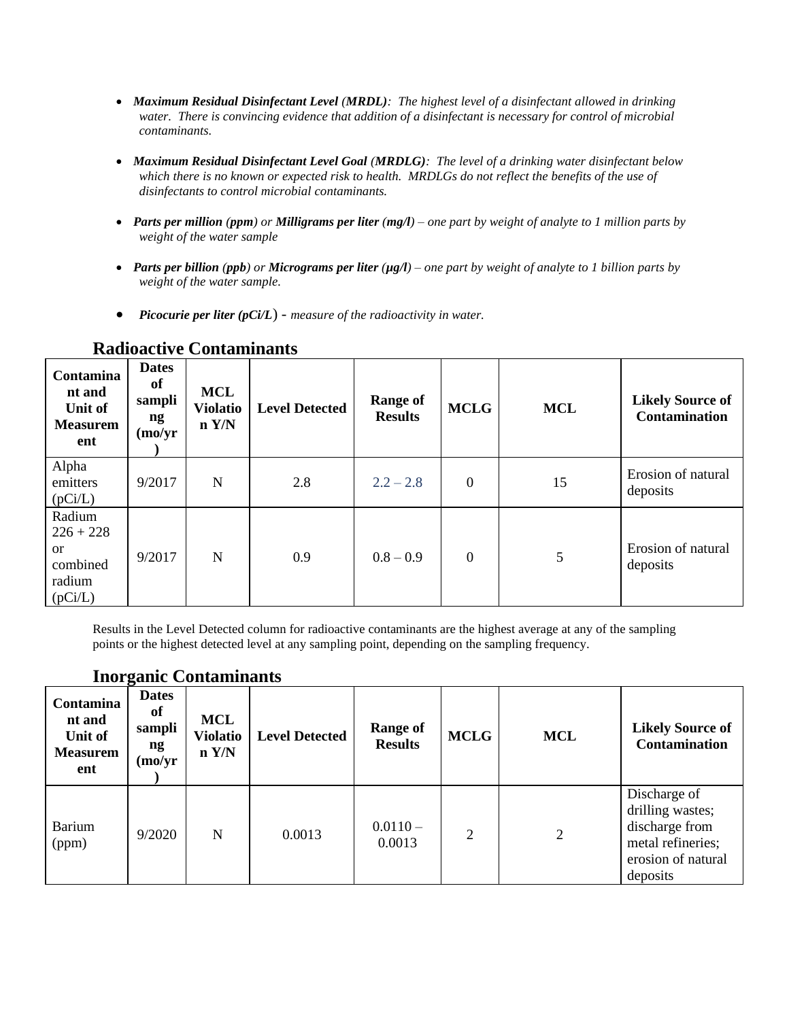- *Maximum Residual Disinfectant Level (MRDL): The highest level of a disinfectant allowed in drinking water. There is convincing evidence that addition of a disinfectant is necessary for control of microbial contaminants.*
- *Maximum Residual Disinfectant Level Goal (MRDLG): The level of a drinking water disinfectant below which there is no known or expected risk to health. MRDLGs do not reflect the benefits of the use of disinfectants to control microbial contaminants.*
- *Parts per million (ppm) or Milligrams per liter (mg/l) – one part by weight of analyte to 1 million parts by weight of the water sample*
- *Parts per billion (ppb) or Micrograms per liter (µg/l) – one part by weight of analyte to 1 billion parts by weight of the water sample.*
- *Picocurie per liter (pCi/L*) *measure of the radioactivity in water.*

| <b>Contamina</b><br>nt and<br>Unit of<br><b>Measurem</b><br>ent         | <b>Dates</b><br>of<br>sampli<br>ng<br>(mo/yr) | <b>MCL</b><br><b>Violatio</b><br>n Y/N | <b>Level Detected</b> | <b>Range of</b><br><b>Results</b> | <b>MCLG</b>      | <b>MCL</b> | <b>Likely Source of</b><br><b>Contamination</b> |
|-------------------------------------------------------------------------|-----------------------------------------------|----------------------------------------|-----------------------|-----------------------------------|------------------|------------|-------------------------------------------------|
| Alpha<br>emitters<br>(pCi/L)                                            | 9/2017                                        | N                                      | 2.8                   | $2.2 - 2.8$                       | $\overline{0}$   | 15         | Erosion of natural<br>deposits                  |
| Radium<br>$226 + 228$<br><sub>or</sub><br>combined<br>radium<br>(pCi/L) | 9/2017                                        | N                                      | 0.9                   | $0.8 - 0.9$                       | $\boldsymbol{0}$ | 5          | Erosion of natural<br>deposits                  |

#### **Radioactive Contaminants**

Results in the Level Detected column for radioactive contaminants are the highest average at any of the sampling points or the highest detected level at any sampling point, depending on the sampling frequency.

### **Inorganic Contaminants**

| Contamina<br>nt and<br>Unit of<br><b>Measurem</b><br>ent | <b>Dates</b><br>of<br>sampli<br>ng<br>(mo/yr) | <b>MCL</b><br><b>Violatio</b><br>n Y/N | <b>Level Detected</b> | <b>Range of</b><br><b>Results</b> | <b>MCLG</b>    | <b>MCL</b> | <b>Likely Source of</b><br><b>Contamination</b>                                                           |
|----------------------------------------------------------|-----------------------------------------------|----------------------------------------|-----------------------|-----------------------------------|----------------|------------|-----------------------------------------------------------------------------------------------------------|
| Barium<br>(ppm)                                          | 9/2020                                        | N                                      | 0.0013                | $0.0110 -$<br>0.0013              | $\overline{2}$ | 2          | Discharge of<br>drilling wastes;<br>discharge from<br>metal refineries;<br>erosion of natural<br>deposits |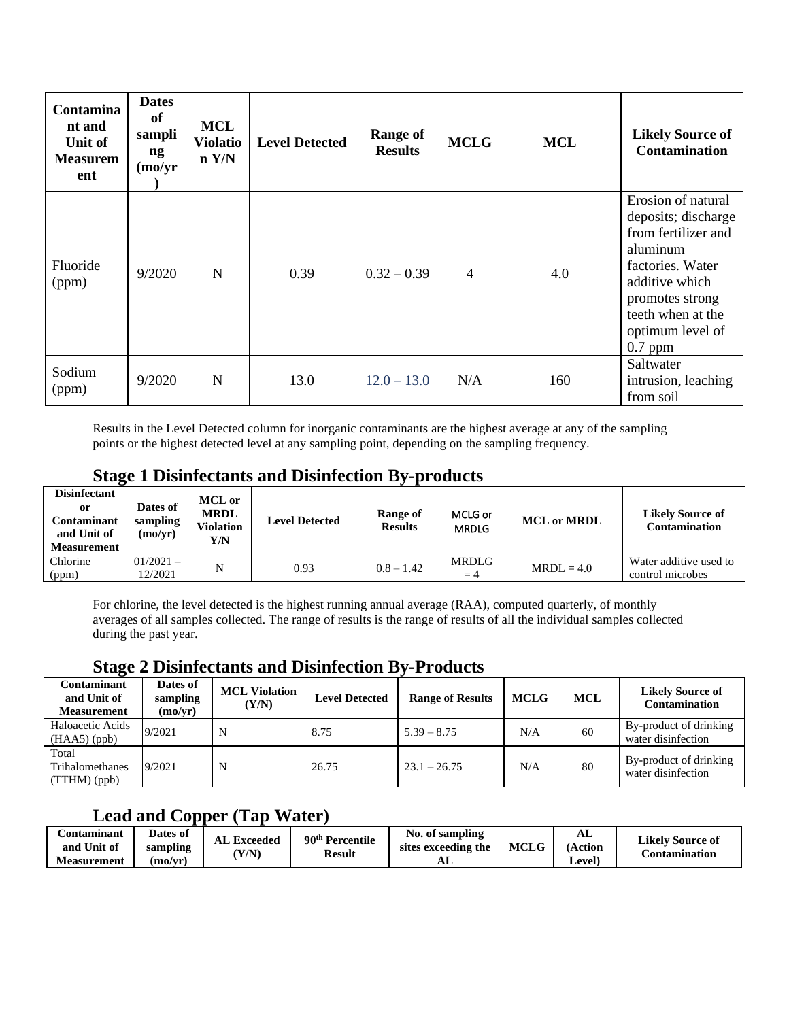| Contamina<br>nt and<br>Unit of<br><b>Measurem</b><br>ent | <b>Dates</b><br>of<br>sampli<br>ng<br>(mo/yr) | <b>MCL</b><br><b>Violatio</b><br>n Y/N | <b>Level Detected</b> | <b>Range of</b><br><b>Results</b> | <b>MCLG</b>    | <b>MCL</b> | <b>Likely Source of</b><br><b>Contamination</b>                                                                                                                                             |
|----------------------------------------------------------|-----------------------------------------------|----------------------------------------|-----------------------|-----------------------------------|----------------|------------|---------------------------------------------------------------------------------------------------------------------------------------------------------------------------------------------|
| Fluoride<br>(ppm)                                        | 9/2020                                        | N                                      | 0.39                  | $0.32 - 0.39$                     | $\overline{4}$ | 4.0        | Erosion of natural<br>deposits; discharge<br>from fertilizer and<br>aluminum<br>factories. Water<br>additive which<br>promotes strong<br>teeth when at the<br>optimum level of<br>$0.7$ ppm |
| Sodium<br>(ppm)                                          | 9/2020                                        | $\mathbf N$                            | 13.0                  | $12.0 - 13.0$                     | N/A            | 160        | Saltwater<br>intrusion, leaching<br>from soil                                                                                                                                               |

Results in the Level Detected column for inorganic contaminants are the highest average at any of the sampling points or the highest detected level at any sampling point, depending on the sampling frequency.

### **Stage 1 Disinfectants and Disinfection By-products**

| <b>Disinfectant</b><br>0r<br>Contaminant<br>and Unit of<br>Measurement | Dates of<br>sampling<br>(mo/vr) | MCL or<br><b>MRDL</b><br>Violation<br>Y/N | <b>Level Detected</b> | Range of<br><b>Results</b> | MCLG or<br><b>MRDLG</b> | <b>MCL or MRDL</b> | <b>Likely Source of</b><br>Contamination   |
|------------------------------------------------------------------------|---------------------------------|-------------------------------------------|-----------------------|----------------------------|-------------------------|--------------------|--------------------------------------------|
| Chlorine<br>(ppm)                                                      | $01/2021 -$<br>12/2021          |                                           | 0.93                  | $0.8 - 1.42$               | MRDLG<br>$=4$           | $MRDL = 4.0$       | Water additive used to<br>control microbes |

For chlorine, the level detected is the highest running annual average (RAA), computed quarterly, of monthly averages of all samples collected. The range of results is the range of results of all the individual samples collected during the past year.

#### **Stage 2 Disinfectants and Disinfection By-Products**

| Contaminant<br>and Unit of<br><b>Measurement</b> | Dates of<br>sampling<br>(mo/yr) | <b>MCL Violation</b><br>(Y/N) | <b>Level Detected</b> | <b>Range of Results</b> | <b>MCLG</b> | <b>MCL</b> | <b>Likely Source of</b><br><b>Contamination</b> |
|--------------------------------------------------|---------------------------------|-------------------------------|-----------------------|-------------------------|-------------|------------|-------------------------------------------------|
| Haloacetic Acids<br>$(HAA5)$ (ppb)               | 9/2021                          | N                             | 8.75                  | $5.39 - 8.75$           | N/A         | 60         | By-product of drinking<br>water disinfection    |
| Total<br>Trihalomethanes<br>(TTHM)(ppb)          | 9/2021                          | N                             | 26.75                 | $23.1 - 26.75$          | N/A         | 80         | By-product of drinking<br>water disinfection    |

### **Lead and Copper (Tap Water)**

| <b>Contaminant</b> | Dates of | . Exceeded | 90 <sup>th</sup> Percentile | No. of sampling     |             | AL      | Likelv Source of     |
|--------------------|----------|------------|-----------------------------|---------------------|-------------|---------|----------------------|
| and Unit of        | sampling | AL.        |                             | sites exceeding the | <b>MCLG</b> | (Action |                      |
| <b>Measurement</b> | (mo/vr   | Y/N        | <b>Result</b>               | AL                  |             | Level   | <b>Contamination</b> |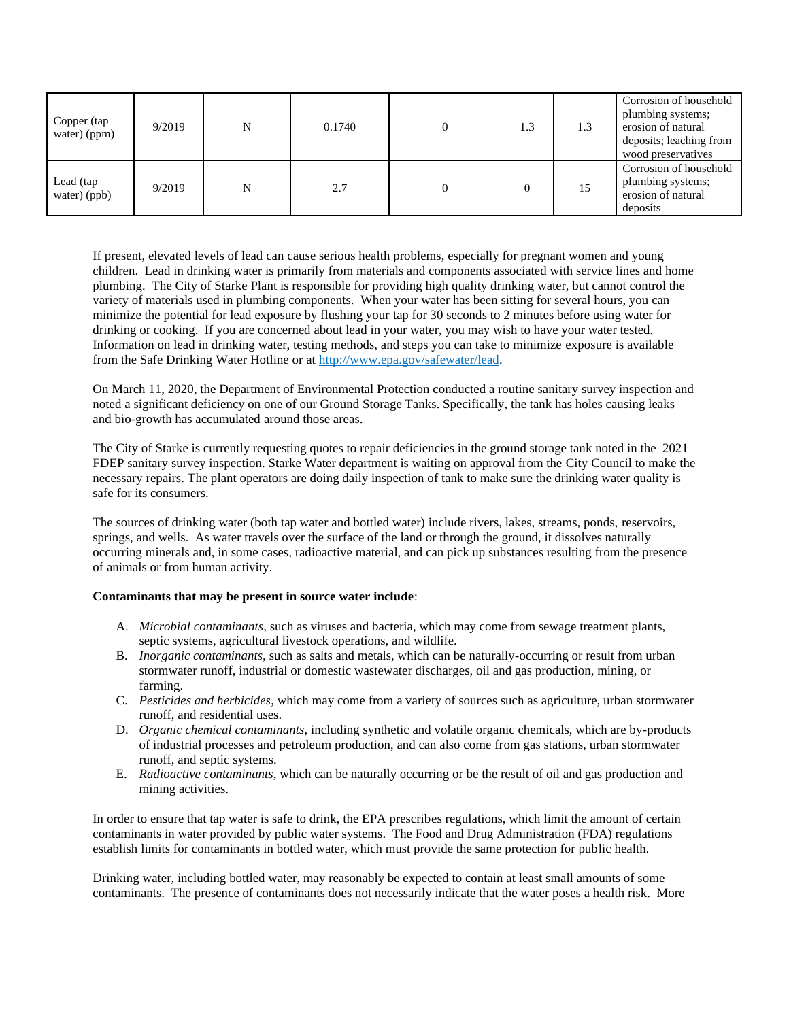| Copper (tap<br>water) (ppm) | 9/2019 | N | 0.1740 | 1.3 | 1.3 | Corrosion of household<br>plumbing systems;<br>erosion of natural<br>deposits; leaching from<br>wood preservatives |
|-----------------------------|--------|---|--------|-----|-----|--------------------------------------------------------------------------------------------------------------------|
| Lead (tap<br>water) (ppb)   | 9/2019 |   | 2.7    |     | 15  | Corrosion of household<br>plumbing systems;<br>erosion of natural<br>deposits                                      |

If present, elevated levels of lead can cause serious health problems, especially for pregnant women and young children. Lead in drinking water is primarily from materials and components associated with service lines and home plumbing. The City of Starke Plant is responsible for providing high quality drinking water, but cannot control the variety of materials used in plumbing components. When your water has been sitting for several hours, you can minimize the potential for lead exposure by flushing your tap for 30 seconds to 2 minutes before using water for drinking or cooking. If you are concerned about lead in your water, you may wish to have your water tested. Information on lead in drinking water, testing methods, and steps you can take to minimize exposure is available from the Safe Drinking Water Hotline or at [http://www.epa.gov/safewater/lead.](http://www.epa.gov/safewater/lead)

On March 11, 2020, the Department of Environmental Protection conducted a routine sanitary survey inspection and noted a significant deficiency on one of our Ground Storage Tanks. Specifically, the tank has holes causing leaks and bio-growth has accumulated around those areas.

The City of Starke is currently requesting quotes to repair deficiencies in the ground storage tank noted in the 2021 FDEP sanitary survey inspection. Starke Water department is waiting on approval from the City Council to make the necessary repairs. The plant operators are doing daily inspection of tank to make sure the drinking water quality is safe for its consumers.

The sources of drinking water (both tap water and bottled water) include rivers, lakes, streams, ponds, reservoirs, springs, and wells. As water travels over the surface of the land or through the ground, it dissolves naturally occurring minerals and, in some cases, radioactive material, and can pick up substances resulting from the presence of animals or from human activity.

#### **Contaminants that may be present in source water include**:

- A. *Microbial contaminants*, such as viruses and bacteria, which may come from sewage treatment plants, septic systems, agricultural livestock operations, and wildlife.
- B. *Inorganic contaminants,* such as salts and metals, which can be naturally-occurring or result from urban stormwater runoff, industrial or domestic wastewater discharges, oil and gas production, mining, or farming.
- C. *Pesticides and herbicides*, which may come from a variety of sources such as agriculture, urban stormwater runoff, and residential uses.
- D. *Organic chemical contaminants*, including synthetic and volatile organic chemicals, which are by-products of industrial processes and petroleum production, and can also come from gas stations, urban stormwater runoff, and septic systems.
- E. *Radioactive contaminants*, which can be naturally occurring or be the result of oil and gas production and mining activities.

In order to ensure that tap water is safe to drink, the EPA prescribes regulations, which limit the amount of certain contaminants in water provided by public water systems. The Food and Drug Administration (FDA) regulations establish limits for contaminants in bottled water, which must provide the same protection for public health.

Drinking water, including bottled water, may reasonably be expected to contain at least small amounts of some contaminants. The presence of contaminants does not necessarily indicate that the water poses a health risk. More